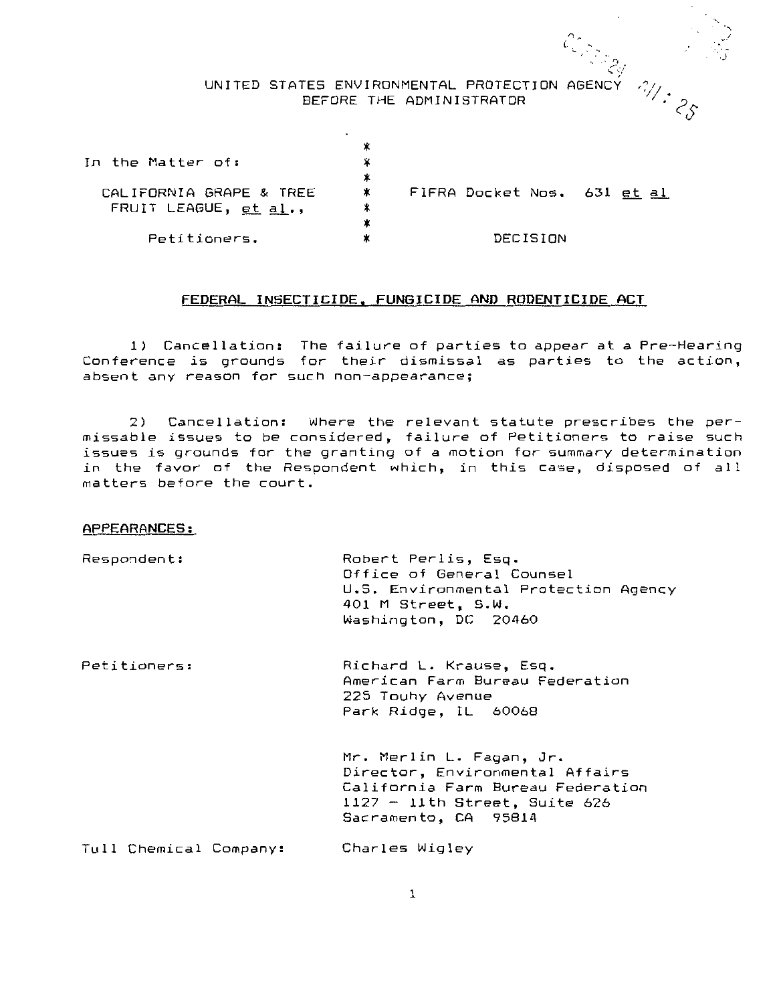# UNITED STATES ENVIRONMENTAL PROTECTION AGENCY BEFORE THE ADMINISTRATOR

 $\mathcal{Z}_{\mathcal{Y}}$ 

·-.  $\cdot$  -*.)* 

| In the Matter of:                                  | ж<br>⋇ |                             |  |
|----------------------------------------------------|--------|-----------------------------|--|
| CALIFORNIA GRAPE & TREE<br>FRUIT LEAGUE, $et al.,$ | ∗      | FIFRA Docket Nos. 631 et al |  |
| Petitioners.                                       | ж      | DECISION                    |  |

# **FEDERAL INSECTICIDE, FUNGICIDE AND RODENTICIDE ACT**

**1)** Cancellation: The failure of parties to appear at a Pre-Hearing Conference is grounds for their dismissal as parties to the action, **absent any reason for such non-appearance;** 

2) Cancellation: Where the relevant statute prescribes the permissable issues to be considered, failure of Petitioners to raise such issues is grounds for the granting of a motion for summary determination *in* the favor of the Respondent which, *in* this case, disposed of all matters before the court.

### APPEARANCES:

| Respondent:            | Robert Perlis, Esg.<br>Office of General Counsel<br>U.S. Environmental Protection Agency<br>401 M Street, S.W.<br>Washington, DC 20460                    |
|------------------------|-----------------------------------------------------------------------------------------------------------------------------------------------------------|
| Petitioners:           | Richard L. Krause, Esq.<br>American Farm Bureau Federation<br>225 Touhy Avenue<br>Park Ridge, IL 60068                                                    |
|                        | Mr. Merlin L. Fagan, Jr.<br>Director, Environmental Affairs<br>California Farm Bureau Federation<br>1127 - 11th Street, Suite 626<br>Sacramento, CA 95814 |
| Tull Chemical Company: | Charles Wigley                                                                                                                                            |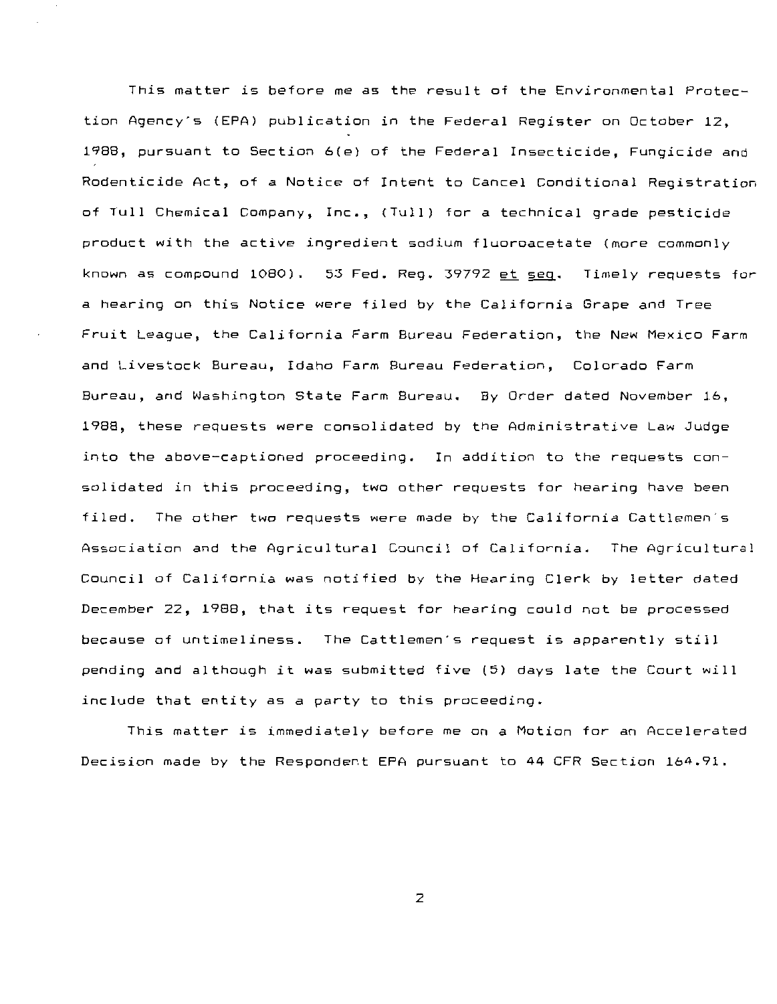This matter is before me as the result of the Environmental Protection Agency's (EPA) publication in the Federal Register on October 12, 1988, pursuant to Section 6(e) of the Federal Insecticide, Fungicide and Rodenticide Act, of *a* Notice of Intent to Cancel Conditional Registration of Tull Chemical Company, Inc., (Tull) for *a* technical grade pesticide product with the active ingredient sodium fluoroacetate (more commonly known as compound 1080). 53 Fed. Reg. 39792 et seq. Timely requests for *<sup>a</sup>*hearing on this Notice were filed by the California Grape and Tree Fruit League, the California Farm Bureau Federation, the New Mexico Farm and Livestock Bureau, Idaho Farm Bureau Federation, Colorado Farm Bureau, and Washington State Farm Bureau. By Order dated November 16, 1988, these requests were consolidated by the Administrative Law Judge into the above-captioned proceeding. In addition to the requests consolidated in this proceeding, two other requests for hearing have been filed. The other two requests were made by the California Cattlemen's Association and the Agricultural Council of California. The Agricultural Council of California was notified by the Hearing Clerk by letter dated December 22, 1988, that its request for hearing could not be processed because of untimeliness. The Cattlemen's request is apparently still pending and although it was submitted five (5) days late the Court will include that entity as *a* party to this proceeding.

This matte~ is immediately before me on *a* Motion for an Accelerated Decision made by the Respondent EPA pursuant to 44 CFR Section 164.91.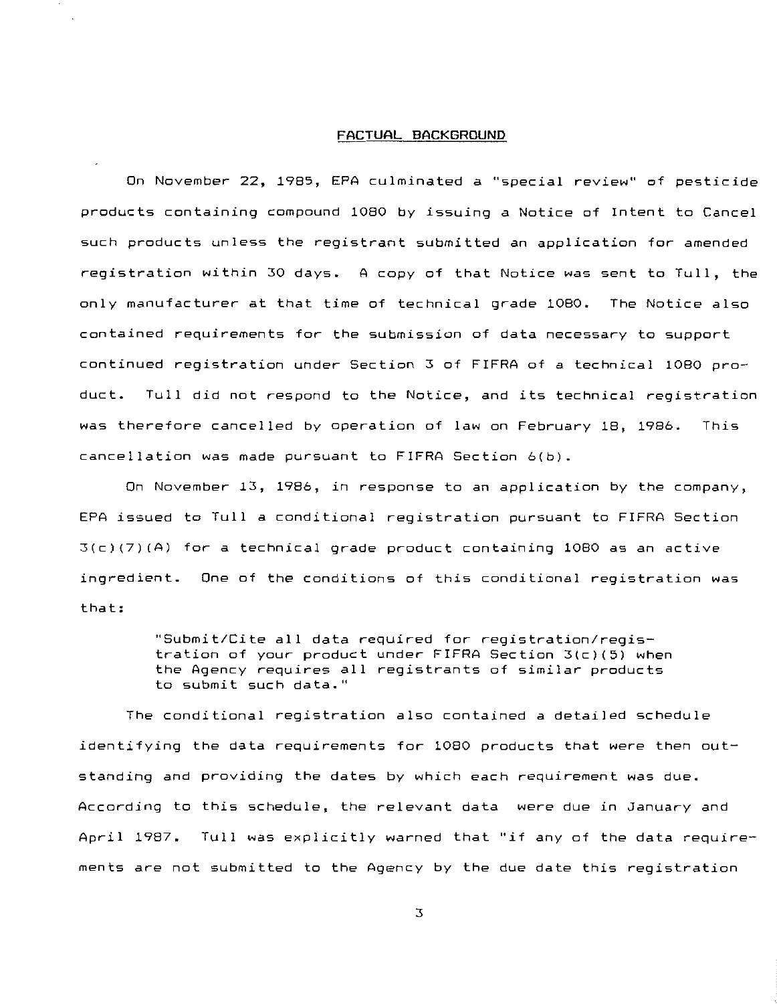## **FACTUAL BACKGROUND**

On November 22, 1985, EPA culminated a ''special review'' of pesticide products containing compound 1080 by issuing a Notice of Intent to Cancel such products unless the registrant submitted an application for amended registration within 30 days. A copy of that Notice was sent to Tull, the only manufacturer at that time of technical grade 1080. The Notice also contained requirements for the submission of data necessary to support continued registration under Section 3 of FIFRA of a technical 1080 product. Tull did not respond to the Notice, and its technical registration was therefore cancelled by operation of law on February 18, 1986. This cancellation was made pursuant to FIFRA Section 6(b).

On November 13, 1986, in response to an application by the company, EPA issued to Tull a conditional registration pursuant to FIFRA Section  $3(c)(7)(A)$  for a technical grade product containing 1080 as an active ingredient. One of the conditions of this conditional registration was that:

> ''Submit/Cite **all** data required for registration/registration of your product under FIFRA Section 3(c)(5) when the Agency requires all registrants of similar products **to submit such data. <sup>11</sup>**

The conditional registration also contained a detailed schedule identifying the data requirements for 1080 products that were then outstanding and providing the dates by which each requirement was due. According to this schedule, the relevant data were due in January and April 1987. Tull was explicitly warned that "if any of the data requirements are not submitted to the Agency by the due date this registration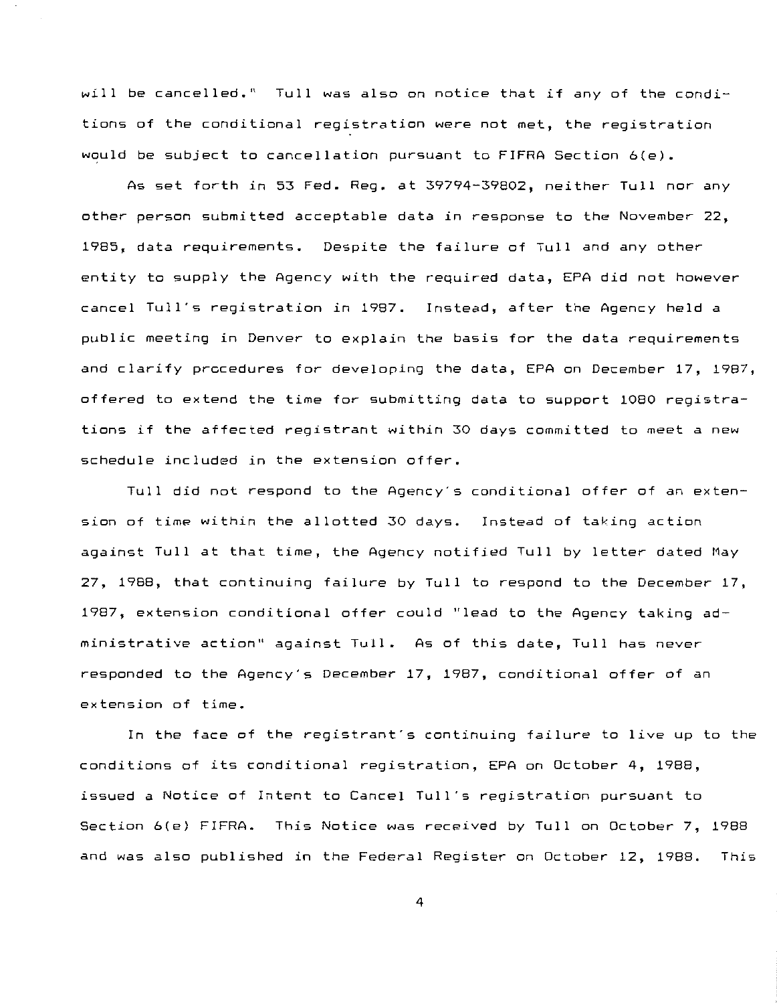will be cancelled.'' Tull was also on notice that if any of the conditions of the conditional registration were not met, the registration would be subject to cancellation pursuant to FIFRA Section 6(e).

As set forth in 53 Fed. Reg. at 39794-39802, neither Tull nor any other person submitted acceptable data in response to the November 22, 1985, data requirements. Despite the failure of Tull and any other entity to supply the Agency with the required data, EPA did not however cancel Tull's registration in 1987. Instead, after the Agency held a public meeting in Denver to explain the basis for the data requirements and clarify procedures for developing the data, EPA on December 17, 1987, offered to extend the time for submitting data to support 1080 registrations if the affected registrant within 30 days committed to meet a new schedule included in the extension offer.

Tull did not respond to the Agency's conditional offer of an extension of time within the allotted 30 days. Instead of taking action against Tull at that time, the Agency notified Tull by Jetter dated May 27, 1988, that continuing failure by Tull to respond to the December 17, 1987, extension conditional offer could "lead to the Agency taking administrative action" against TulJ. As of this date, Tull has never responded to the Agency's December 17, 1987, conditional offer of an extension of time.

In the face of the registrant's continuing failure to live up to the conditions of its conditional registration, EPA on October 4, 1988, issued a Notice of Intent to Cancel Tull's registration pursuant to Section 6(e) FIFRA. This Notice was received by Tull on October 7, 1988 and was also published in the Federal Register on October 12, 1988. This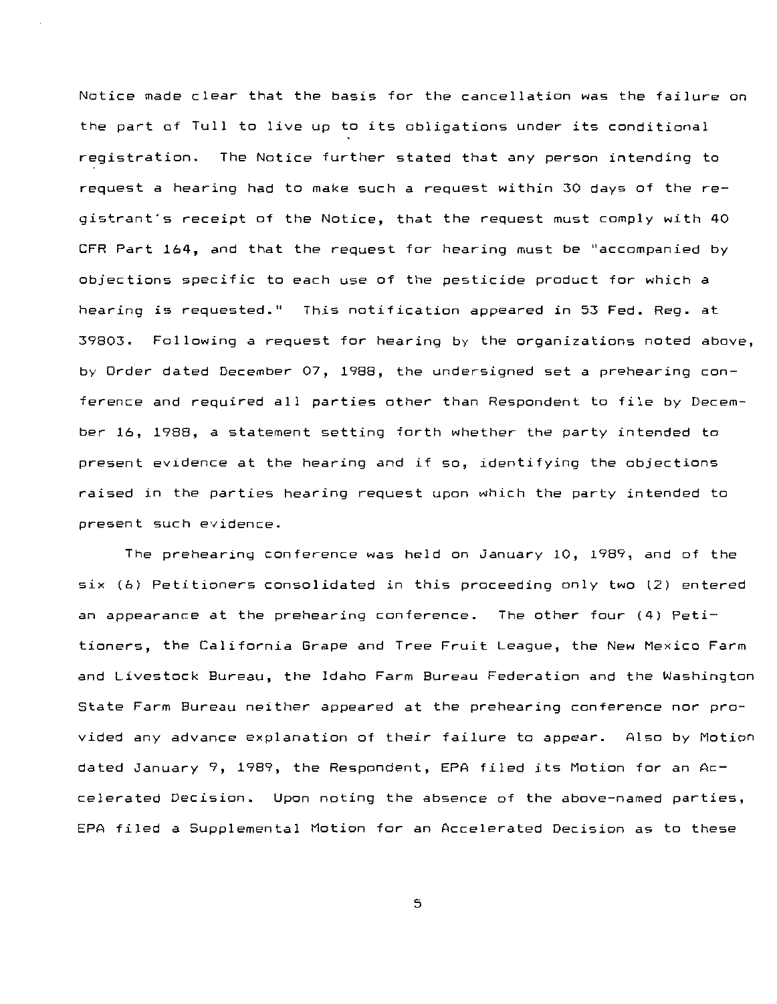Notice made clear that the basis for the cancellation was the failure on the part of Tull to live up to its obligations under its conditional registration. The Notice further stated that any person intending to request a hearing had to make such a request within 30 days of the registrant's receipt of the Notice, that the request must comply with 40 CFR Part 164, and that the request for hearing must be ''accompanied by objections specific to each use of the pesticide product for which a **hearing is requested.''** This notification appeared in 53 Fed. Reg. at 39803. Following a request for hearing by the organizations noted above, by Order dated December 07, 1988, the undersigned set a prehearing conference and required all parties other than Respondent to file by December 16, 1988, a statement setting forth whether the party intended to present evidence at the hearing and if so, identifying the objections raised in the parties hearing request upon which the party intended to **present such evidence.** 

The prehearing conference was held on January 10, 1989, and of the six (6) Petitioners consolidated in this proceeding only two (2) entered an appearance at the prehearing conference. The other four (4) Petitioners, the California Grape and Tree Fruit League, the New Mexico Farm and Livestock Bureau, the Idaho Farm Bureau Federation and the Washington State Farm Bureau neither appeared at the prehearing conference nor provided any advance explanation of their failure to appear. Also by Motion dated January 9, 1989, the Respondent, EPA filed its Motion for an Accelerated Decision. Upon noting the absence of the above-named parties, EPA filed a Supplemental Motion for an Accelerated Decision as to these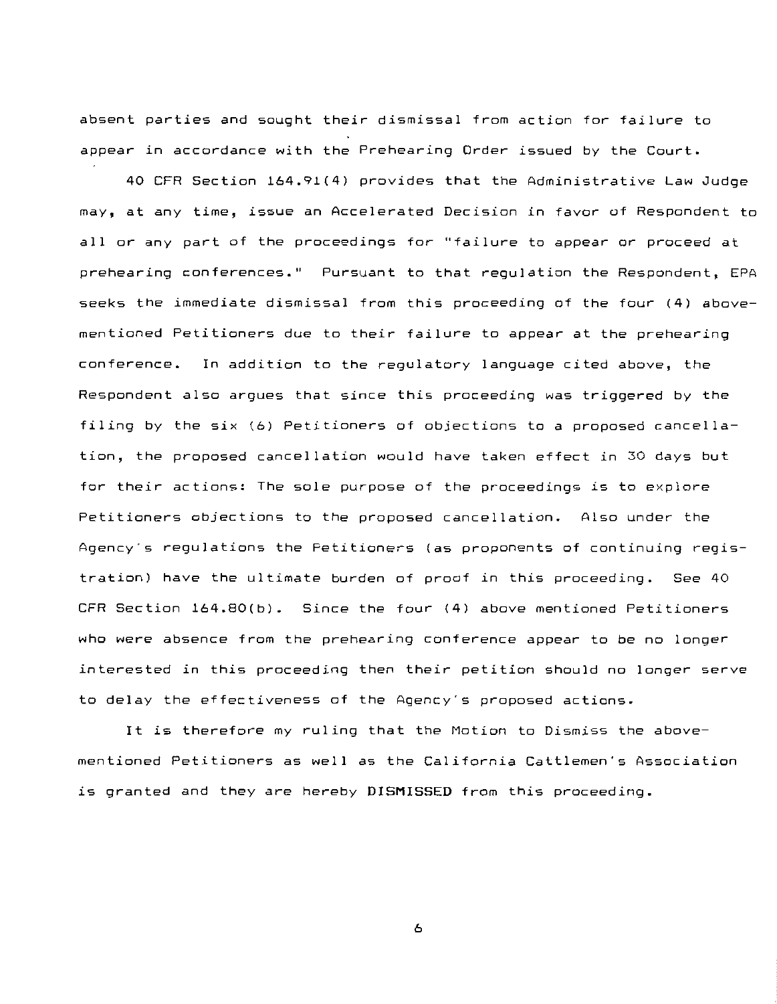absent parties and sought their dismissal from action for failure to appear in accordance with the Prehearing Order issued by the Court.

40 CFR Section 164.91(4) provides that the Administrative Law Judge may, at any time, issue an Accelerated Decision in favor of Respondent to all or any part of the proceedings for "failure to appear or proceed at **prehearing** conferences.•~ Pursuant to that regulation the Respondent, EPA seeks the immediate dismissal from this proceeding of the four (4) abovementioned Petitioners due to their failure to appear at the prehearing **conference.** In addition to the regulatory language cited above, the Respondent also argues that since this proceeding was triggered by the filing by the six (6) Petitioners of objections to a proposed cancellation, the proposed cancellation would have taken effect in 30 days but for their actions: The sole purpose of the proceedings is to explore Petitioners objections to the proposed cancellation. Also under the Agency's regulations the Petitioners (as proponents of continuing registration) have the ultimate burden of proof in this proceeding. See 40 CFR Section 164.80(b). Since the four (4) above mentioned Petitioners who were absence from the prehearing conference appear to be no longer interested in this proceeding then their petition should no longer serve to delay the effectiveness of the Agency's proposed actions.

It is therefore my ruling that the Motion to Dismiss the abovementioned Petitioners as well as the California Cattlemen's Association is granted and they are hereby **DISMISSED** from this proceeding.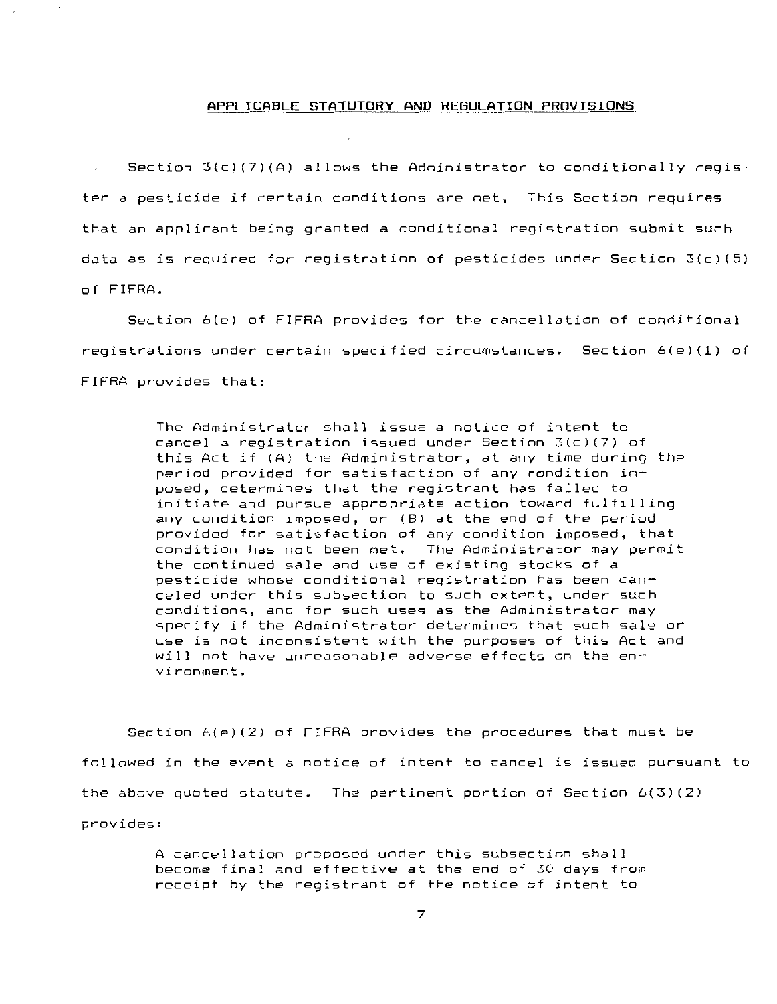## **APPLICABLE STATUTORY AND REGULATION PROVISIONS**

Section  $3(c)(7)(A)$  allows the Administrator to conditionally register a pesticide if certain conditions are met. This Section requires that an applicant being granted a conditional registration submit such data as is required for registration of pesticides under Section 3(c)(5) of FIFRA.

Section 6(e) of FIFRA provides for the cancellation of conditional **registrations under certain specified circumstances.** Section 6(e)(1) of FIFRA provides that:

> The Administrator shall issue a notice of intent to cancel a registration issued under Section 3(c)(7) of this Act if (A) the Administrator, at any time during the period provided for satisfaction of any condition imposed, determines that the registrant has failed to initiate and pursue appropriate action toward fulfilling any condition imposed, or (B) at the end of the period provided for satisfaction of any condition imposed, that condition has not been met. The Administrator may permit the continued sale and use of existing stocks of a pesticide whose conditional registration has been canceled under this subsection to such extent, under such conditions, and for such uses as the Administrator may specify if the Administrator determines that such sale or use is not inconsistent with the purposes of this Act and will not have unreasonable adverse effects on the  $en$ **vironment.**

Section 6(e)(2) of FIFRA provides the procedures that must be followed in the event a notice of intent to cancel is issued pursuant to the above quoted statute. The pertinent portion of Section 6(3)(2) provides:

> A cancellation proposed under this subsection shall become final and effective at the end of 30 days from receipt by the registrant of the notice of intent to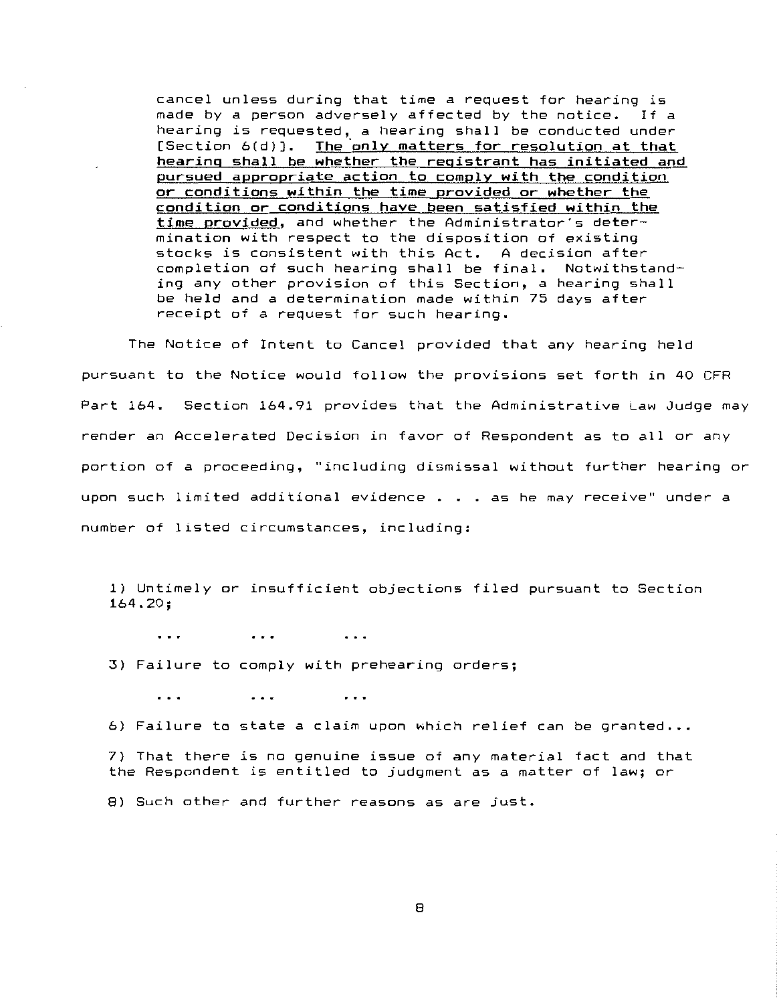cancel unless during that time a request for hearing is made by a person adversely affected by the notice. If a hearing is requested, a hearing shall be conducted under [Section 6(d)]. The only matters for resolution at that hearing shall be whether the registrant has initiated and pursued appropriate action to comply with the condition or conditions within the time provided or whether the condition or conditions have been satisfied within the time provided, and whether the Administrator's determination with respect to the disposition of existing stocks is consistent with this Act. A decision after completion of such hearing shall be final. Notwithstanding any other provision of this Section, *a* hearing shall be held and *a* determination made within 75 days after receipt of a request for such hearing.

The Notice of Intent to Cancel provided that any hearing held pursuant to the Notice would follow the provisions set forth in 40 CFR Part 164. Section 164.91 provides that the Administrative Law Judge may render an Accelerated Decision in favor of Respondent as to all or any **portion of a proceeding, ''including dismissal without further hearing or**  upon such limited additional evidence . **as he may receive'' under a number of listed circumstances, including:** 

1) Untimely or insufficient objections filed pursuant to Section 164.20;

 $\ddotsc$  $\cdots$  $\ddotsc$ 

3) Failure to comply with prehearing orders;

 $\ddotsc$  $\bullet$   $\bullet$   $\bullet$  $\ddot{\phantom{0}}$ 

6) Failure to state a claim upon which relief can be granted...

7) That there is no genuine issue of any material fact and that the Respondent is entitled to judgment as a matter of law; or

8) Such other and further reasons as are just.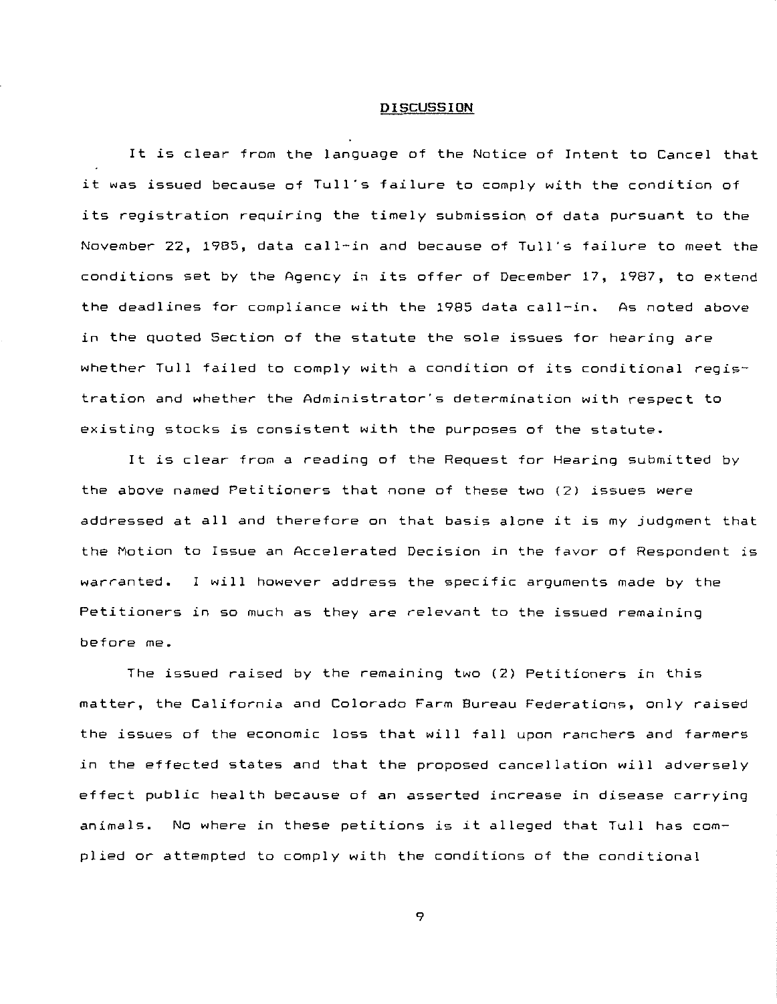#### **DISCUSSION**

It is clear from the language of the Notice of Intent to Cancel that it was issued because of Tull's failure to comply with the condition of its registration requiring the timely submission of data pursuant to the November 22, 1985, data call-in and because of Tull's failure to meet the conditions set by the Agency in its offer of December 17, 1987, to extend the deadlines for compliance with the 1985 data call-in. As noted above in the quoted Section of the statute the sole issues for hearing are whether Tull failed to comply with a condition of its conditional registration and whether the Administrator's determination with respect to existing stocks is consistent with the purposes of the statute.

It is clear from a reading of the Request for Hearing submitted by the above named Petitioners that none of these two {2) issues were addressed at all and therefore on that basis alone it is my judgment that the Motion to Issue an Accelerated Decision in the favor of Respondent is warranted. I will however address the specific arguments made by the Petitioners in so much as they are relevant to the issued remaining before me.

The issued raised by the remaining two {2) Petitioners in this matter, the California and Colorado Farm Bureau Federations, only raised the issues of the economic loss that will fall upon ranchers and farmers in the effected states and that the proposed cancellation will adversely effect public health because of an asserted increase in disease carrying **animals.** No where in these petitions is it alleged that Tull has complied or attempted to comply with the conditions of the conditional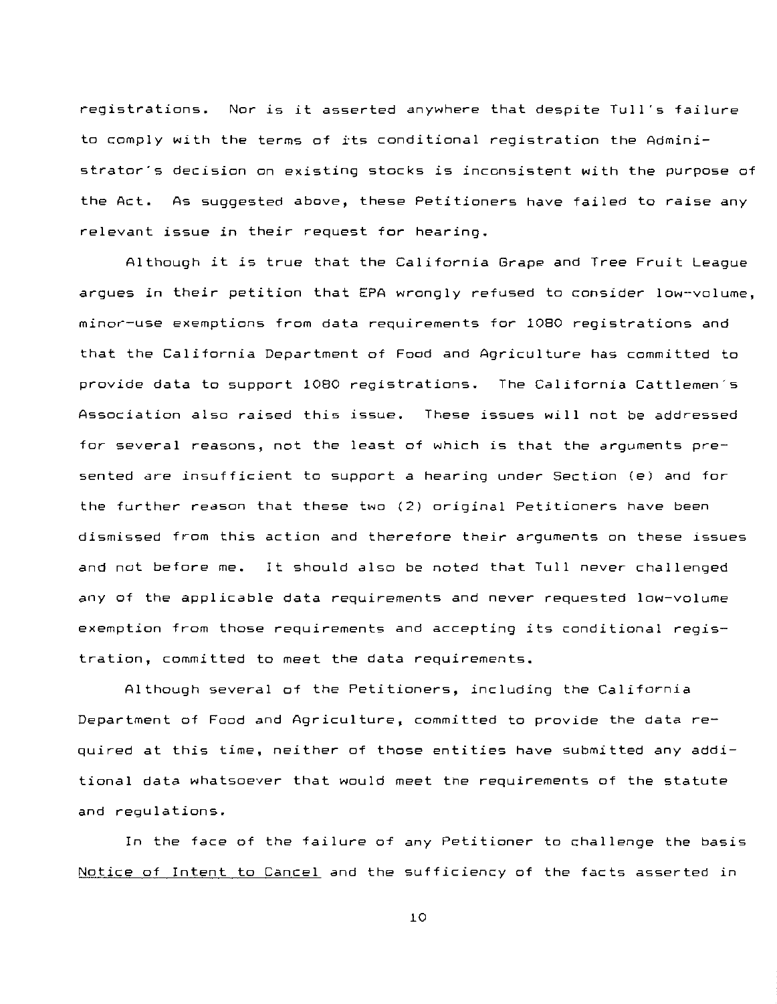registrations. Nor is it asserted anywhere that despite Tull's failure to comply with the terms of its conditional registration the Administrator's decision on existing stocks is inconsistent with the purpose of the Act. As suggested above, these Petitioners have failed to raise any relevant issue in their request for hearing.

Although it is true that the California Grape and Tree Fruit League argues in their petition that EPA wrongly refused to consider low-volume, minor-use exemptions from data requirements for 1080 registrations and that the California Department of Food and Agriculture has committed to provide data to support 1080 registrations. The California Cattlemen's **Association also raised this issue.** These issues will not be addressed for several reasons, not the least of which is that the arguments presented are insufficient to support a hearing under Section (e) and for the further reason that these two (2) original Petitioners have been **dismissed from this action and therefore their arguments on these issues**  and not before me. It should also be noted that Tull never challenged any of the applicable data requirements and never requested low-volume exemption from those requirements and accepting its conditional registration, committed to meet the data requirements.

Although several of the Petitioners, including the California Department of Food and Agriculture, committed to provide the data required at this time, neither of those entities have submitted any additional data whatsoever that would meet the requirements of the statute and regulations.

In the face of the failure of any Petitioner to challenge the basis Notice of Intent to Cancel and the sufficiency of the facts asserted in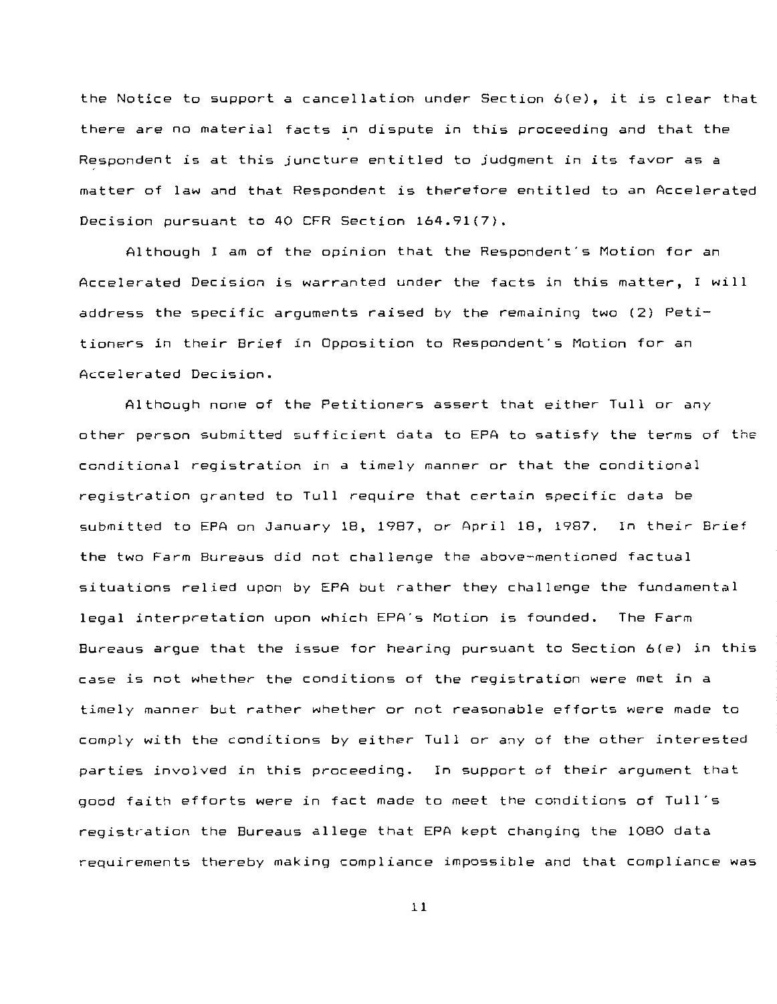the Notice to support a cancellation under Section 6(e), it is clear that there are no material facts in dispute in this proceeding and that the Respondent is at this juncture entitled to judgment in its favor as a matter of law and that Respondent is therefore entitled to an Accelerated Decision pursuant to 40 CFR Section 164.91(7).

Although I am of the opinion that the Respondent's Motion for an Accelerated Decision is warranted under the facts in this matter, I will address the specific arguments raised by the remaining two (2) Petitioners in their Brief in Opposition to Respondent's Motion for an Accelerated Decision.

Although none of the Petitioners assert that either Tull or any other person submitted sufficient data to EPA to satisfy the terms of the conditional registration in a timely manner or that the conditional registration granted to Tull require that certain specific data be submitted to EPA on January 18, 1987, or April 18, 1987. In their Brief the two Farm Bureaus did not challenge the above-mentioned factual situations relied upon by EPA but rather they challenge the fundamental legal interpretation upon which EPA's Motion is founded. The Farm Bureaus argue that the issue for hearing pursuant to Section 6(e) in this case is not whether the conditions of the registration were met in a timely manner but rather whether or not reasonable efforts were made to comply with the conditions by either Tull or any of the other interested parties involved in this proceeding. In support of their argument that good faith efforts were in fact made to meet the conditions of Tull's registration the Bureaus allege that EPA kept changing the 1080 data requirements thereby making compliance impossible and that compliance was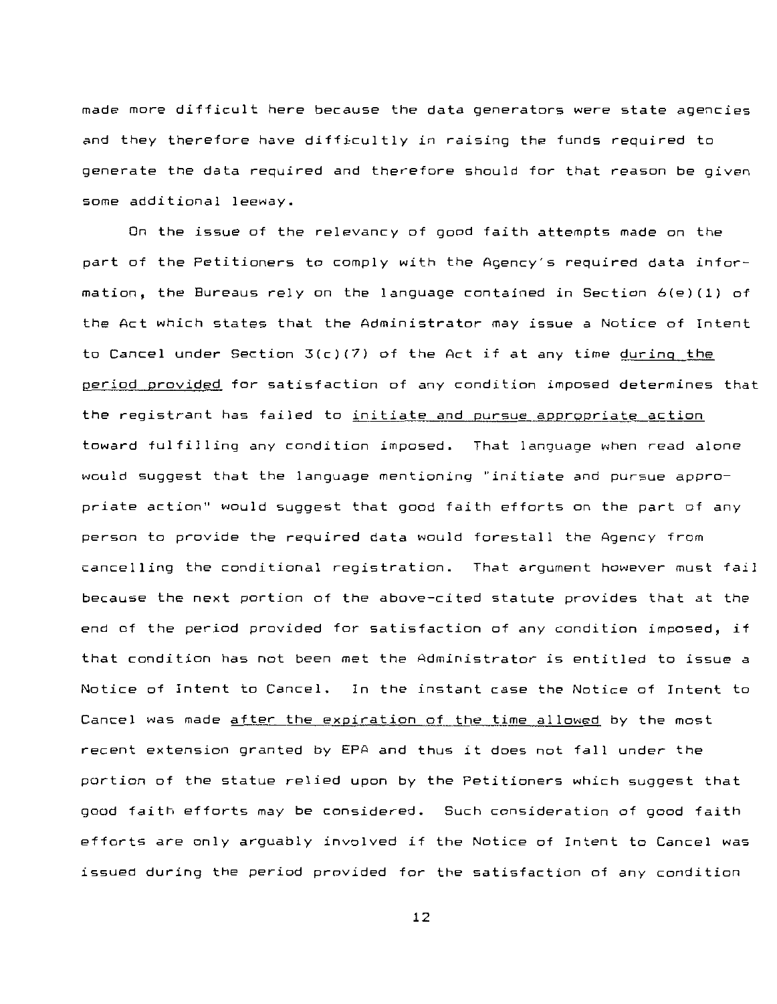made more difficult here because the data generators were state agencies and they therefore have difficultly in raising the funds required to generate the data required and therefore should for that reason be given some additional leeway.

On the issue of the relevancy of good faith attempts made on the part of the Petitioners to comply with the Agency's required data information, the Bureaus rely on the language contained in Section 6(e)(1) of the Act which states that the Administrator may issue a Notice of Intent to Cancel under Section 3(c)(7) of the Act if at any time during the period provided for satisfaction of any condition imposed determines that the registrant has failed to initiate and pursue appropriate action toward fulfilling any condition imposed. That language when read alone would suggest that the language mentioning "initiate and pursue appropriate action" would suggest that good faith efforts on the part of any person to provide the required data would forestall the Agency from cancelling the conditional registration. That argument however must fail because the next portion of the above-cited statute provides that at the end of the period provided for satisfaction of any condition imposed, if that condition has not been met the Administrator is entitled to issue a Notice of Intent to Cancel. In the instant case the Notice of Intent to Cancel was made after the expiration of the time allowed by the most recent extension granted by EPA and thus it does not fall under the portion of the statue relied upon by the Petitioners which suggest that good faith efforts may be considered. Such consideration of good faith efforts are only arguably involved if the Notice of Intent to Cancel was issued during the period provided for the satisfaction of any condition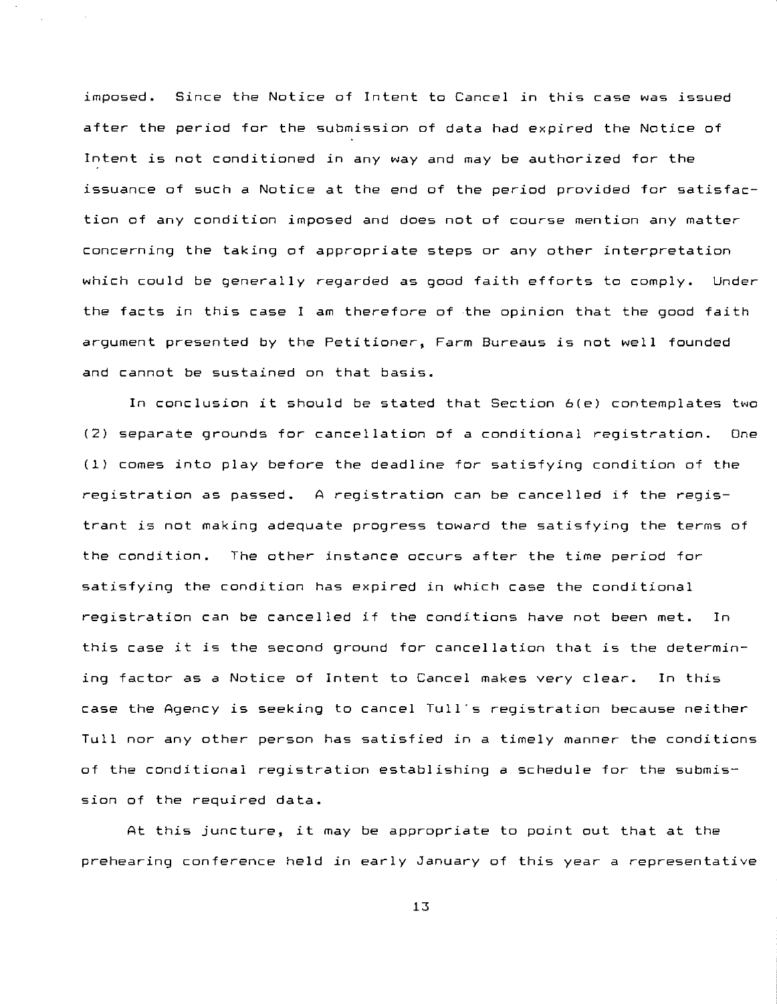imposed. Since the Notice of Intent to Cancel in this case was issued after the period for the submission of data had expired the Notice of Intent is not conditioned in any way and may be authorized for the issuance of such a Notice at the end of the period provided for satisfaction of any condition imposed and does not of course mention any matter concerning the taking of appropriate steps or any other interpretation which could be generally regarded as good faith efforts to comply. Under the facts in this case I am therefore of the opinion that the good faith argument presented by the Petitioner, Farm Bureaus is not well founded and cannot be sustained on that basis.

In conclusion it should be stated that Section 6(e) contemplates two (2) separate grounds for cancellation of a conditional registration. One (1) comes into play before the deadline for satisfying condition of the registration as passed. A registration can be cancelled if the registrant is not making adequate progress toward the satisfying the terms of the condition. The other instance occurs after the time period for satisfying the condition has expired in which case the conditional registration can be cancelled if the conditions have not been met. In this case it is the second ground for cancellation that is the determining factor as a Notice of Intent to Cancel makes very clear. In this case the Agency is seeking to cancel Tull's registration because neither Tull nor any other person has satisfied in a timely manner the conditions of the conditional registration establishing a schedule for the submission of the required data.

At this juncture, it may be appropriate to point out that at the prehearing conference held in early January of this year a representative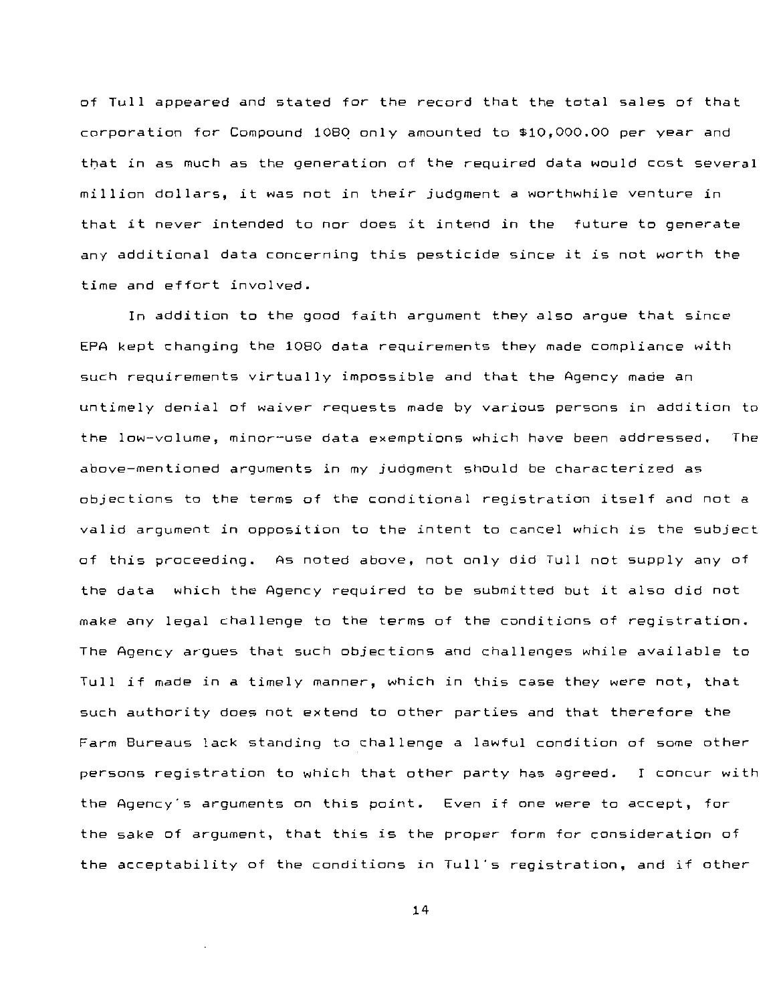of Tull appeared and stated for the record that the total sales of that corporation for Compound 108Q only amounted to \$10,000.00 per year and that in as much as the generation of the required data would cost several million dollars, it was not in their judgment a worthwhile venture in that it never intended to nor does it intend in the future to generate any additional data concerning this pesticide since it is not worth the time and effort involved.

In addition to the good faith argument they also argue that since EPA kept changing the 1080 data requirements they made compliance with such requirements virtually impossible and that the Agency made an untimely denial of waiver requests made by various persons in addition to the low-volume, minor-use data exemptions which have been addressed. The above-mentioned arguments in my judgment should be characterized as objections to the terms of the conditional registration itself and not a valid argument in opposition to the intent to cancel which is the subject of this proceeding. As noted above, not only did Tull not supply any of the data which the Agency required to be submitted but it also did not make any legal challenge to the terms of the conditions of registration. The Agency argues that such objections and challenges while available to Tull if made in a timely manner, which in this case they were not, that such authority does not extend to other parties and that therefore the Farm Bureaus lack standing to challenge a lawful condition of some other persons registration to which that other party has agreed. I concur with the Agency's arguments on this point. **Even if one were to accept, for**  the sake of argument, that this is the proper form for consideration of the acceptability of the conditions in Tull's registration, and if other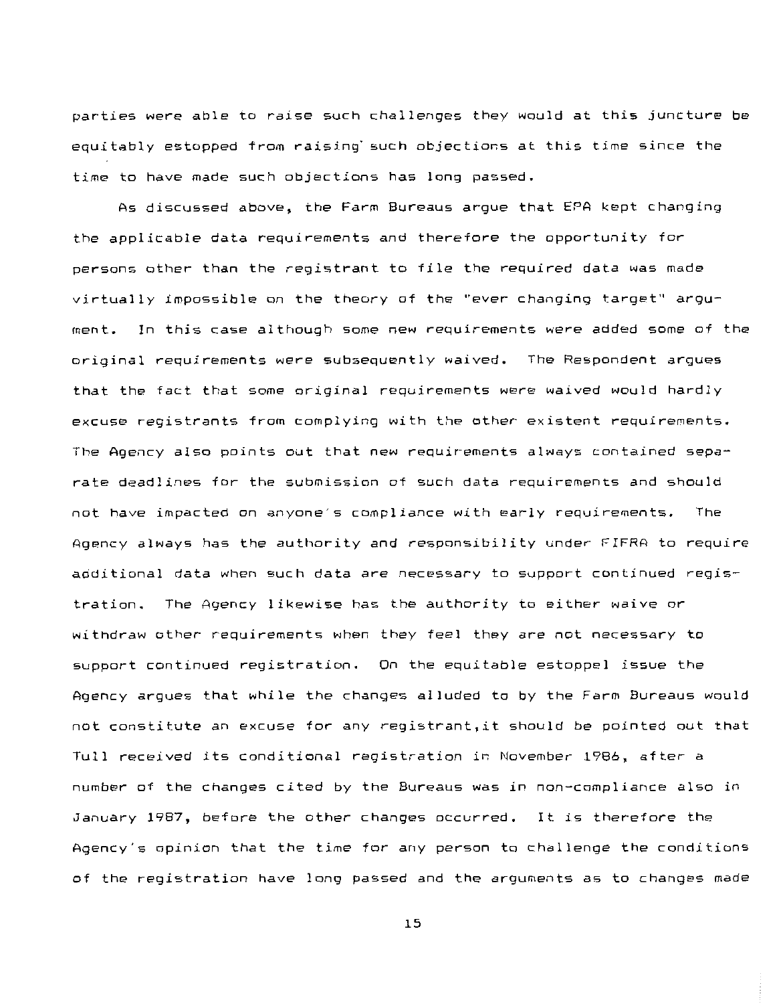parties were able to raise such challenges they would at this juncture be equitably estopped from raising· such objections at this time since the time to have made such objections has long passed.

As discussed above, the Farm Bureaus argue that EPA kept changing the applicable data requirements and therefore the opportunity for persons other than the registrant to file the required data was made virtually impossible on the theory of the ''ever changing target'' argument. In this case although some new requirements were added some of the original requirements were subsequently waived. The Respondent argues that the fact that some original requirements were waived would hardly excuse registrants from complying with the other existent requirements. The Agency also points out that new requirements always contained separate deadlines for the submission ot such data requirements and should not have impacted on anyone's compliance with early requirements. The Agency always has the authority and responsibility under FIFRA to require additional data when such data are necessary to support continued registration. The Agency likewise has the authority to either waive or withdraw other requirements when they feel they are not necessary to support continued registration. On the equitable estoppel issue the Agency argues that while the changes alluded to by the Farm Bureaus would not constitute an excuse for any registrant,it should be pointed out that Tull received its conditional registration in November 1986, after a number of the changes cited by the Bureaus was in non-compliance also in January 1987, before the other changes occurred. It is therefore the Agency's opinion that the time for any person to challenge the conditions of the registration have long passed and the arguments as to changes made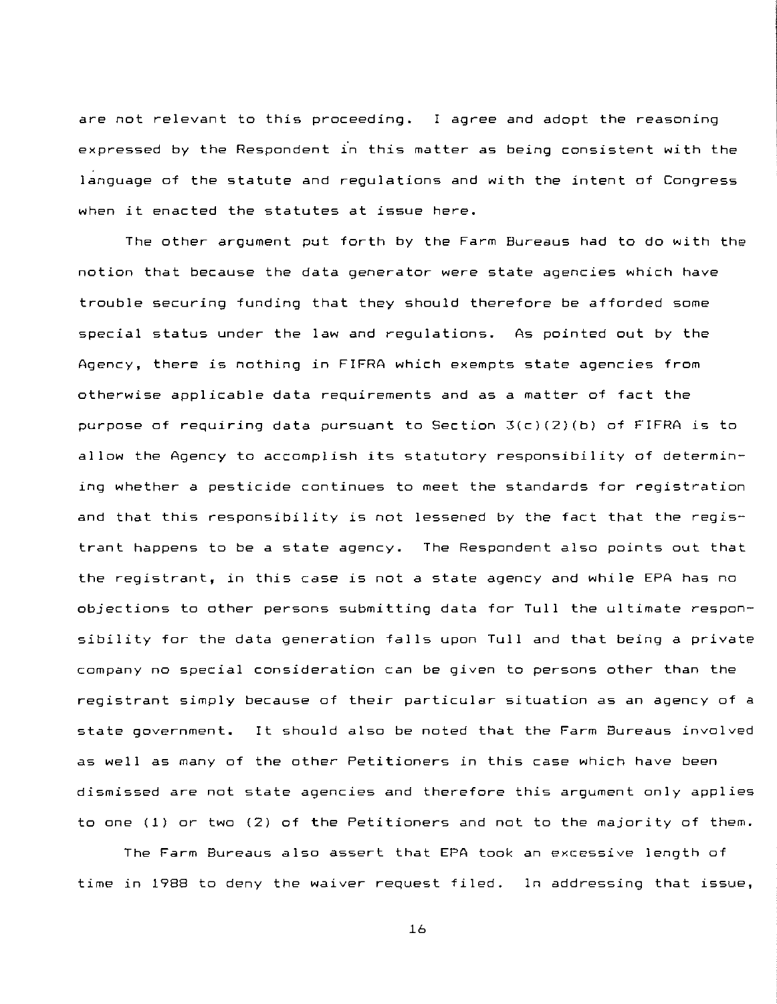are not relevant to this proceeding. I agree and adopt the reasoning expressed by the Respondent in this matter as being consistent with the language of the statute and regulations and with the intent of Congress when it enacted the statutes at issue here.

The other argument put forth by the Farm Bureaus had to do with the notion that because the data generator were state agencies which have trouble securing funding that they should therefore be afforded some special status under the law and regulations. As pointed out by the Agency, there is nothing in FIFRA which exempts state agencies from otherwise applicable data requirements and as a matter of fact the purpose of requiring data pursuant to Section  $3(c)(2)(b)$  of FIFRA is to allow the Agency to accomplish its statutory responsibility of determining whether a pesticide continues to meet the standards for registration and that this responsibility is not lessened by the fact that the registrant happens to be a state agency. The Respondent also points out that the registrant, in this case is not a state agency and while EPA has no objections to other persons submitting data for Tull the ultimate responsibility for the data generation falls upon Tull and that being a private company no special consideration can be given to persons other than the registrant simply because of their particular situation as an agency of a state government. It should also be noted that the Farm Bureaus involved as well as many of the other Petitioners in this case which have been dismissed are not state agencies and therefore this argument only applies to one (1) or two (2) of the Petitioners and not to the majority of them.

The Farm Bureaus also assert that EPA took an excessive length of time in 1988 to deny the waiver request filed. In addressing that issue,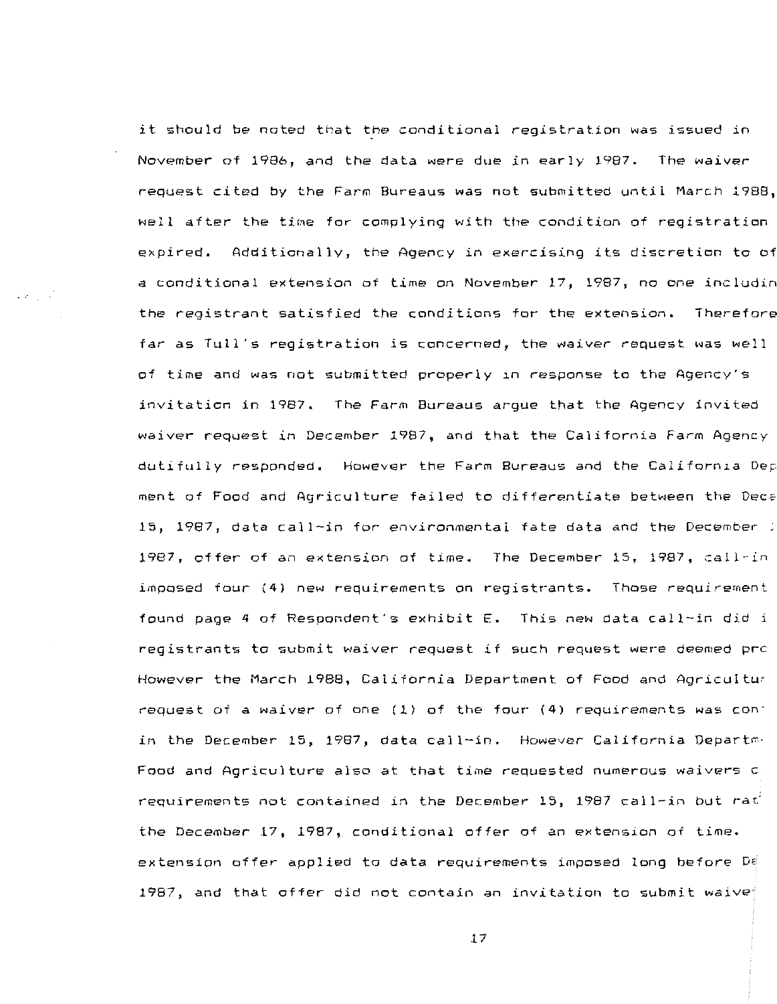it should be noted that the conditional registration was issued in November of 1986, and the data were due in early 1987. The waiver request cited by the Farm Bureaus was not submitted until March 1988, well after the time for complying with the condition of registration expired. Additionally, the Agency in exercising its discretion to off< a conditional extension of time on November 17, 1987, no one includin the registrant satisfied the conditions for the extension. Therefore far as Tull's registration is concerned, the waiver request was well of time and was not submitted properly in response to the Agency's invitation in 1987. The Farm Bureaus argue that the Agency invited waiver request in December 1987, and that the California Farm Agency dutifully responded. However the Farm Bureaus and the California Dep ment of Food and Agriculture failed to differentiate between the Deca 15, 1987, data call-in for environmental fate data and the December 1987, offer of an extension of time. The December 15, 1987, call-in imposed four 14) new requirements on registrants. **Those requirement**  found page 4 of Respondent's exhibit E. This new data call-in did *<sup>i</sup>* registrants to submit waiver request if such request were deemed pre However the March 1988, California Department of Food and Agricultur request of a waiver of one (1) of the four (4) requirements was con· in the December 15, 1987, data call-in. However California Departm· Food and Agriculture also at that time requested numerous waivers c requirements not contained in the December 15, 1987 call-in but rat the December 17, 1987, conditional offer of an extension of time. extension offer applied to data requirements imposed long before *DE*  1987, and that offer did not contain an invitation to submit waive $^{\circ}$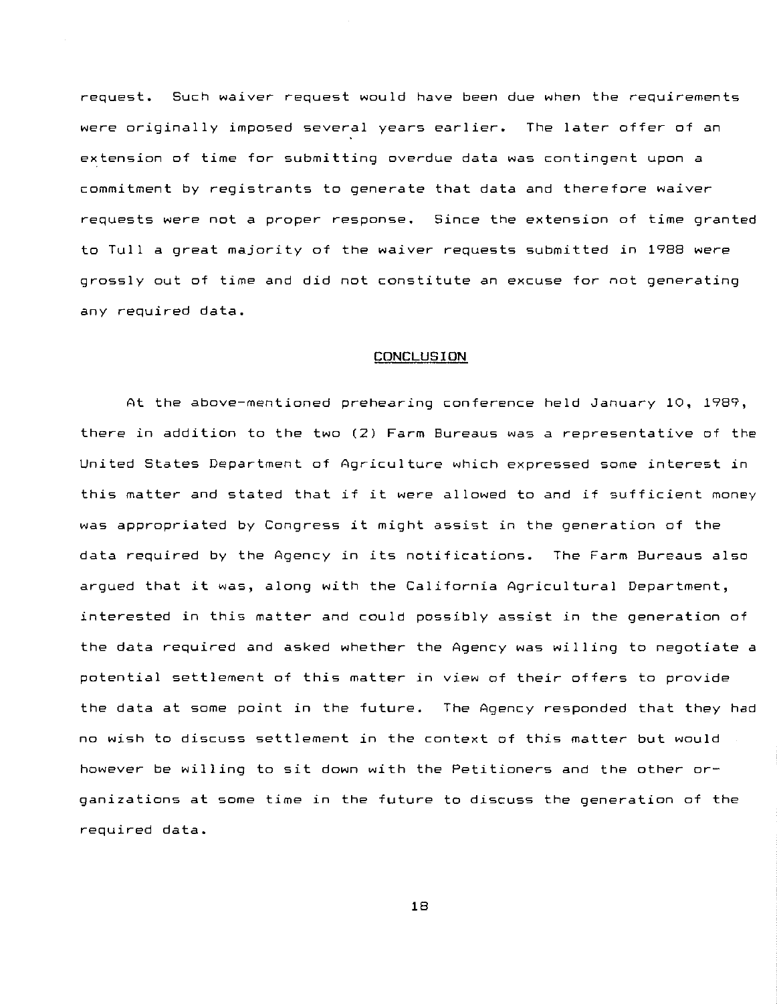request. Such waiver request would have been due when the requirements were originally imposed several years earlier. The later offer of an extension of time for submitting overdue data was contingent upon a commitment by registrants to generate that data and therefore waiver requests were not a proper response. Since the extension of time granted to Tull a great majority of the waiver requests submitted in 1988 were grossly out of time and did not constitute an excuse for not generating any required data.

#### **CONCLUSION**

At the above-mentioned prehearing conference held January 10, 1989, there in addition to the two (2) Farm Bureaus was a representative of the United States Department of Agriculture which expressed some interest in this matter and stated that if it were allowed to and if sufficient money was appropriated by Congress it might assist in the generation of the data required by the Agency in its notifications. **The** Fa~m **Bureaus also**  argued that it was, along with the California Agricultural Department, interested in this matter and could possibly assist in the generation of the data required and asked whether the Agency was willing to negotiate a potential settlement of this matter in view of their offers to provide the data at some point in the future. The Agency responded that they had no wish to discuss settlement in the context of this matter but would however be willing to sit down with the Petitioners and the other organizations at some time in the future to discuss the generation of the required data.